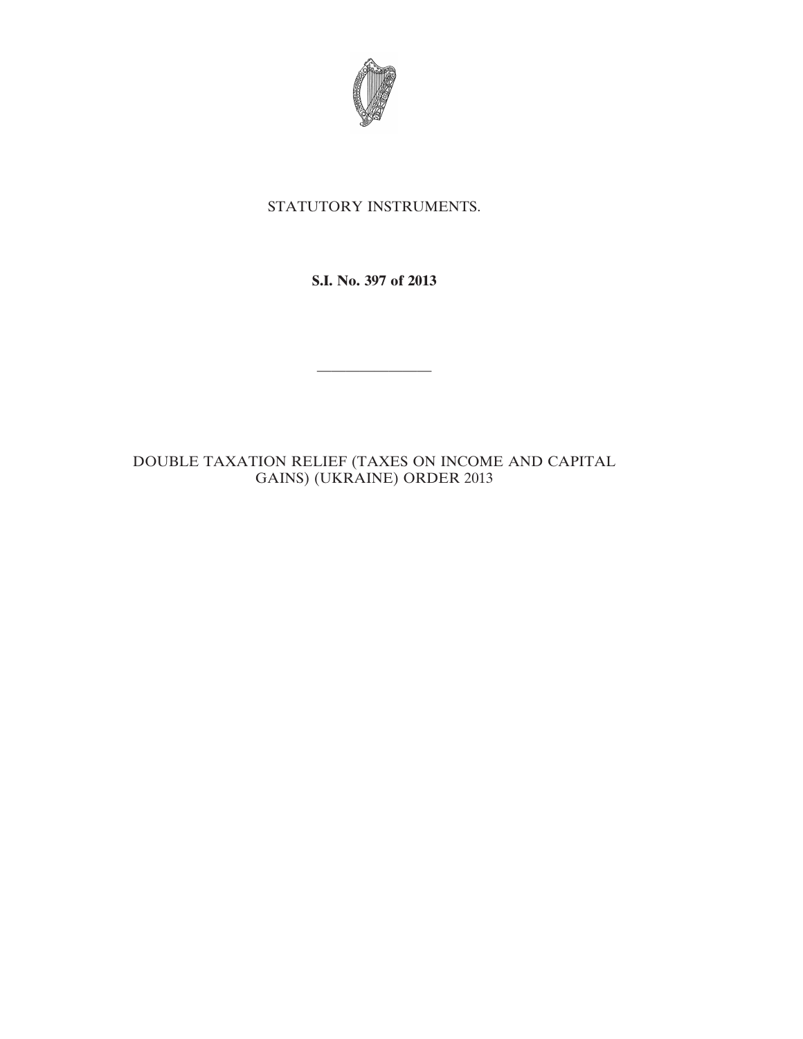

# STATUTORY INSTRUMENTS.

**S.I. No. 397 of 2013**

————————

# DOUBLE TAXATION RELIEF (TAXES ON INCOME AND CAPITAL GAINS) (UKRAINE) ORDER 2013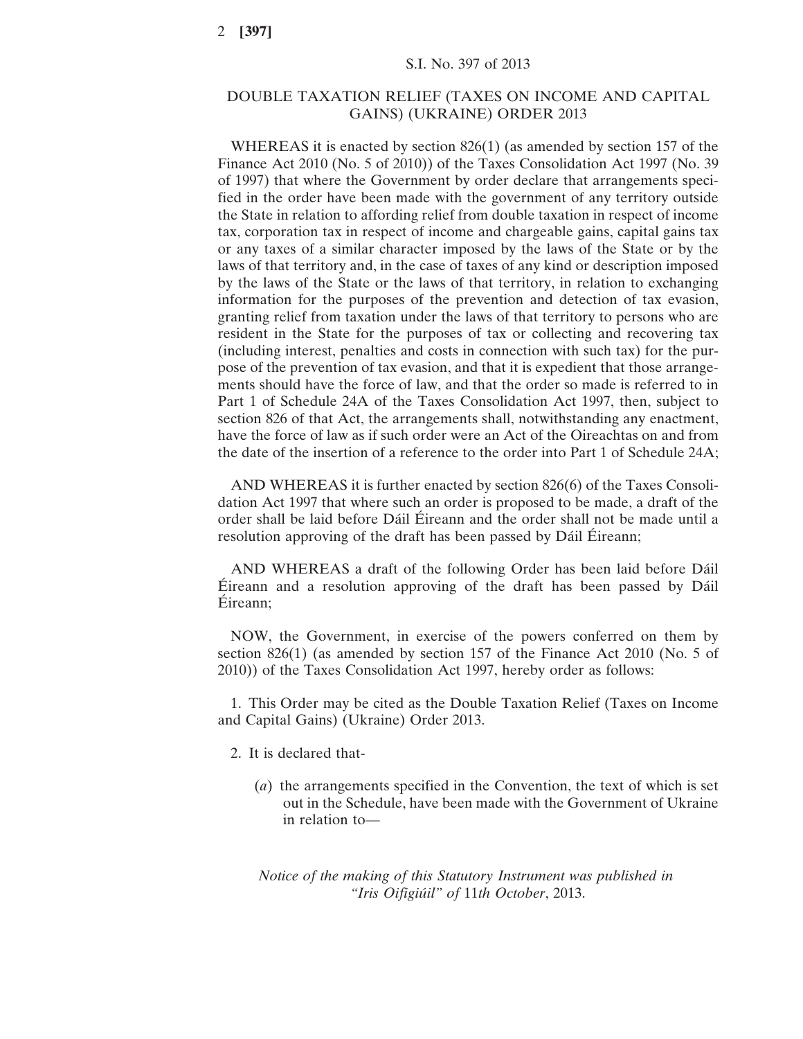# DOUBLE TAXATION RELIEF (TAXES ON INCOME AND CAPITAL GAINS) (UKRAINE) ORDER 2013

WHEREAS it is enacted by section 826(1) (as amended by section 157 of the Finance Act 2010 (No. 5 of 2010)) of the Taxes Consolidation Act 1997 (No. 39 of 1997) that where the Government by order declare that arrangements specified in the order have been made with the government of any territory outside the State in relation to affording relief from double taxation in respect of income tax, corporation tax in respect of income and chargeable gains, capital gains tax or any taxes of a similar character imposed by the laws of the State or by the laws of that territory and, in the case of taxes of any kind or description imposed by the laws of the State or the laws of that territory, in relation to exchanging information for the purposes of the prevention and detection of tax evasion, granting relief from taxation under the laws of that territory to persons who are resident in the State for the purposes of tax or collecting and recovering tax (including interest, penalties and costs in connection with such tax) for the purpose of the prevention of tax evasion, and that it is expedient that those arrangements should have the force of law, and that the order so made is referred to in Part 1 of Schedule 24A of the Taxes Consolidation Act 1997, then, subject to section 826 of that Act, the arrangements shall, notwithstanding any enactment, have the force of law as if such order were an Act of the Oireachtas on and from the date of the insertion of a reference to the order into Part 1 of Schedule 24A;

AND WHEREAS it is further enacted by section 826(6) of the Taxes Consolidation Act 1997 that where such an order is proposed to be made, a draft of the order shall be laid before Dáil Éireann and the order shall not be made until a resolution approving of the draft has been passed by Dáil Éireann;

AND WHEREAS a draft of the following Order has been laid before Dáil Éireann and a resolution approving of the draft has been passed by Dáil Éireann;

NOW, the Government, in exercise of the powers conferred on them by section 826(1) (as amended by section 157 of the Finance Act 2010 (No. 5 of 2010)) of the Taxes Consolidation Act 1997, hereby order as follows:

1. This Order may be cited as the Double Taxation Relief (Taxes on Income and Capital Gains) (Ukraine) Order 2013.

- 2. It is declared that-
	- (*a*) the arrangements specified in the Convention, the text of which is set out in the Schedule, have been made with the Government of Ukraine in relation to—

*Notice of the making of this Statutory Instrument was published in "Iris Oifigiúil" of* 11*th October*, 2013.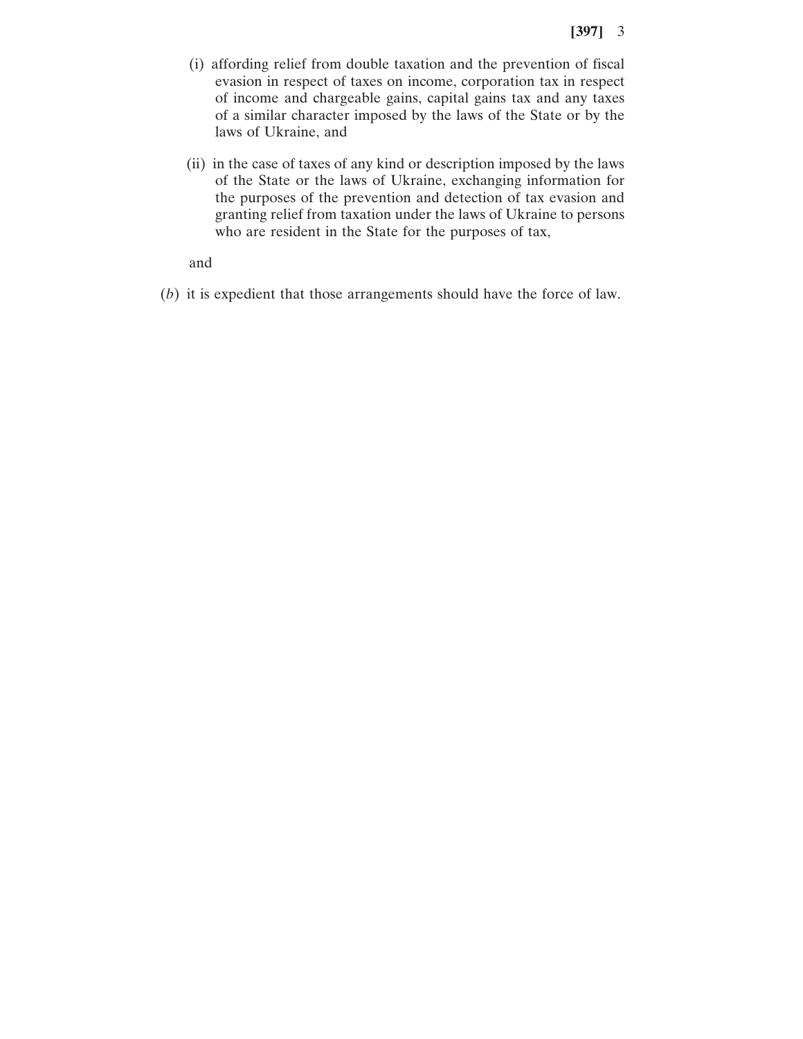- (i) affording relief from double taxation and the prevention of fiscal evasion in respect of taxes on income, corporation tax in respect of income and chargeable gains, capital gains tax and any taxes of a similar character imposed by the laws of the State or by the laws of Ukraine, and
- (ii) in the case of taxes of any kind or description imposed by the laws of the State or the laws of Ukraine, exchanging information for the purposes of the prevention and detection of tax evasion and granting relief from taxation under the laws of Ukraine to persons who are resident in the State for the purposes of tax,

and

(*b*) it is expedient that those arrangements should have the force of law.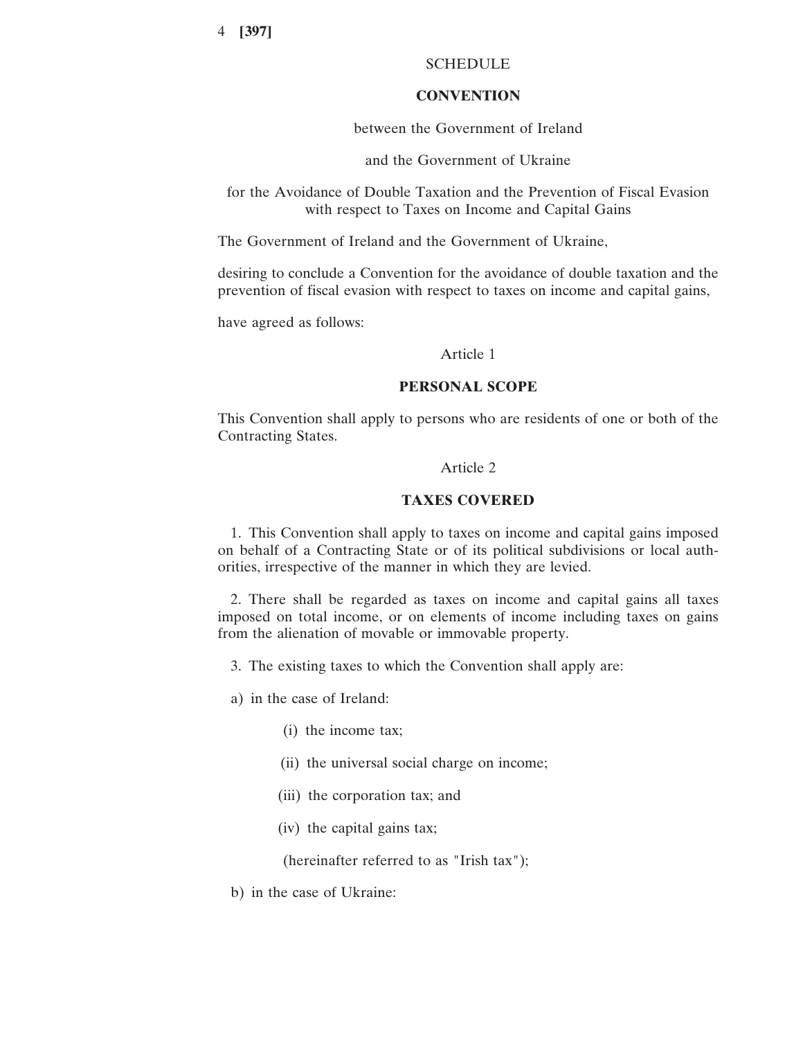# SCHEDULE

# **CONVENTION**

### between the Government of Ireland

and the Government of Ukraine

for the Avoidance of Double Taxation and the Prevention of Fiscal Evasion with respect to Taxes on Income and Capital Gains

The Government of Ireland and the Government of Ukraine,

desiring to conclude a Convention for the avoidance of double taxation and the prevention of fiscal evasion with respect to taxes on income and capital gains,

have agreed as follows:

### Article 1

### **PERSONAL SCOPE**

This Convention shall apply to persons who are residents of one or both of the Contracting States.

# Article 2

### **TAXES COVERED**

1. This Convention shall apply to taxes on income and capital gains imposed on behalf of a Contracting State or of its political subdivisions or local authorities, irrespective of the manner in which they are levied.

2. There shall be regarded as taxes on income and capital gains all taxes imposed on total income, or on elements of income including taxes on gains from the alienation of movable or immovable property.

3. The existing taxes to which the Convention shall apply are:

a) in the case of Ireland:

- (i) the income tax;
- (ii) the universal social charge on income;
- (iii) the corporation tax; and
- (iv) the capital gains tax;

(hereinafter referred to as "Irish tax");

b) in the case of Ukraine: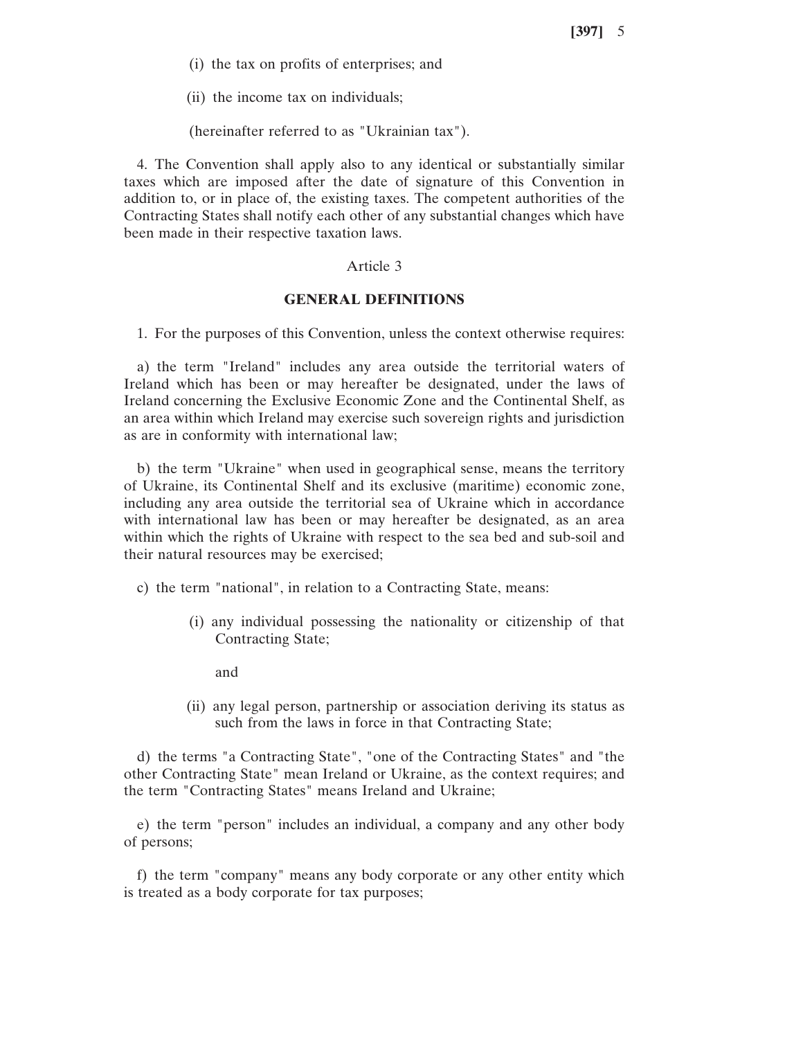(i) the tax on profits of enterprises; and

(ii) the income tax on individuals;

(hereinafter referred to as "Ukrainian tax").

4. The Convention shall apply also to any identical or substantially similar taxes which are imposed after the date of signature of this Convention in addition to, or in place of, the existing taxes. The competent authorities of the Contracting States shall notify each other of any substantial changes which have been made in their respective taxation laws.

# Article 3

### **GENERAL DEFINITIONS**

1. For the purposes of this Convention, unless the context otherwise requires:

a) the term "Ireland" includes any area outside the territorial waters of Ireland which has been or may hereafter be designated, under the laws of Ireland concerning the Exclusive Economic Zone and the Continental Shelf, as an area within which Ireland may exercise such sovereign rights and jurisdiction as are in conformity with international law;

b) the term "Ukraine" when used in geographical sense, means the territory of Ukraine, its Continental Shelf and its exclusive (maritime) economic zone, including any area outside the territorial sea of Ukraine which in accordance with international law has been or may hereafter be designated, as an area within which the rights of Ukraine with respect to the sea bed and sub-soil and their natural resources may be exercised;

c) the term "national", in relation to a Contracting State, means:

- (i) any individual possessing the nationality or citizenship of that Contracting State;
	- and
- (ii) any legal person, partnership or association deriving its status as such from the laws in force in that Contracting State;

d) the terms "a Contracting State", "one of the Contracting States" and "the other Contracting State" mean Ireland or Ukraine, as the context requires; and the term "Contracting States" means Ireland and Ukraine;

e) the term "person" includes an individual, a company and any other body of persons;

f) the term "company" means any body corporate or any other entity which is treated as a body corporate for tax purposes;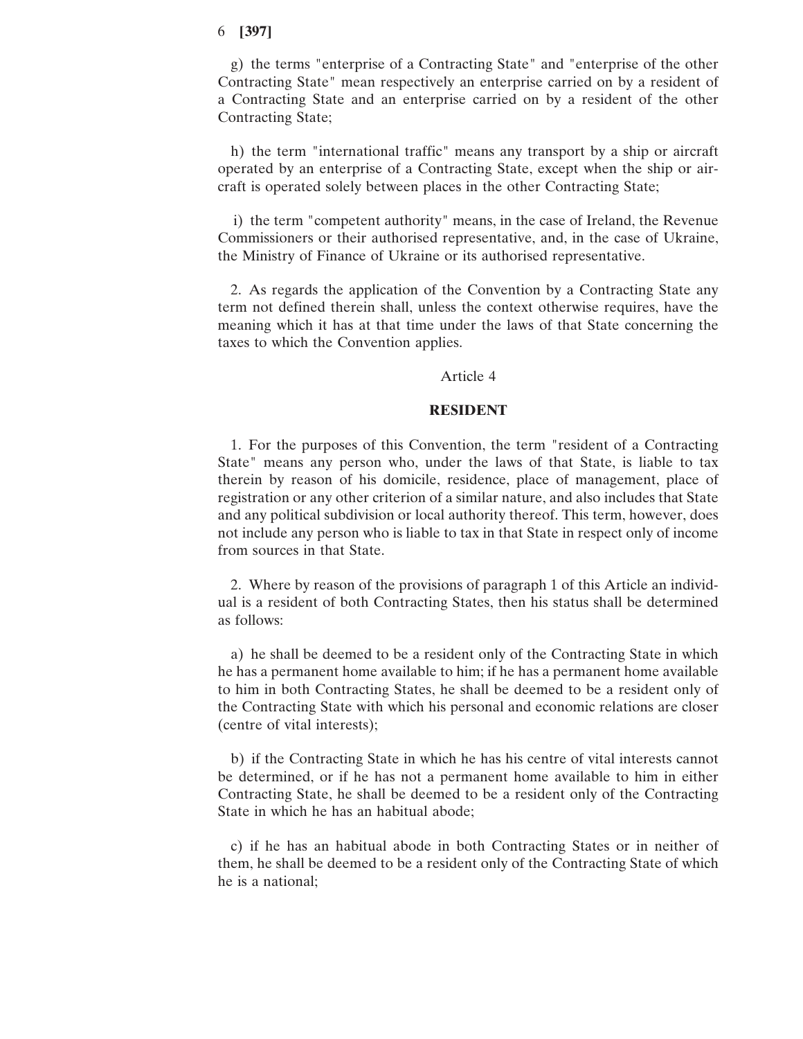g) the terms "enterprise of a Contracting State" and "enterprise of the other Contracting State" mean respectively an enterprise carried on by a resident of a Contracting State and an enterprise carried on by a resident of the other Contracting State;

h) the term "international traffic" means any transport by a ship or aircraft operated by an enterprise of a Contracting State, except when the ship or aircraft is operated solely between places in the other Contracting State;

i) the term "competent authority" means, in the case of Ireland, the Revenue Commissioners or their authorised representative, and, in the case of Ukraine, the Ministry of Finance of Ukraine or its authorised representative.

2. As regards the application of the Convention by a Contracting State any term not defined therein shall, unless the context otherwise requires, have the meaning which it has at that time under the laws of that State concerning the taxes to which the Convention applies.

#### Article 4

# **RESIDENT**

1. For the purposes of this Convention, the term "resident of a Contracting State" means any person who, under the laws of that State, is liable to tax therein by reason of his domicile, residence, place of management, place of registration or any other criterion of a similar nature, and also includes that State and any political subdivision or local authority thereof. This term, however, does not include any person who is liable to tax in that State in respect only of income from sources in that State.

2. Where by reason of the provisions of paragraph 1 of this Article an individual is a resident of both Contracting States, then his status shall be determined as follows:

a) he shall be deemed to be a resident only of the Contracting State in which he has a permanent home available to him; if he has a permanent home available to him in both Contracting States, he shall be deemed to be a resident only of the Contracting State with which his personal and economic relations are closer (centre of vital interests);

b) if the Contracting State in which he has his centre of vital interests cannot be determined, or if he has not a permanent home available to him in either Contracting State, he shall be deemed to be a resident only of the Contracting State in which he has an habitual abode;

c) if he has an habitual abode in both Contracting States or in neither of them, he shall be deemed to be a resident only of the Contracting State of which he is a national;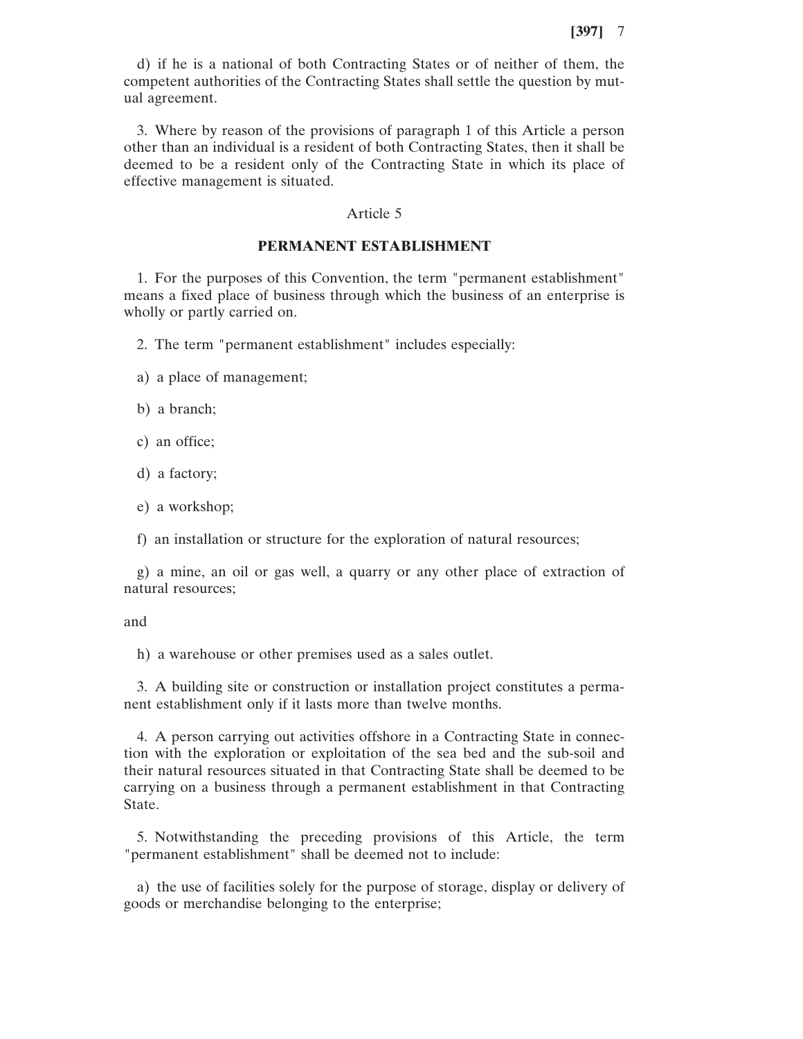d) if he is a national of both Contracting States or of neither of them, the competent authorities of the Contracting States shall settle the question by mutual agreement.

3. Where by reason of the provisions of paragraph 1 of this Article a person other than an individual is a resident of both Contracting States, then it shall be deemed to be a resident only of the Contracting State in which its place of effective management is situated.

#### Article 5

### **PERMANENT ESTABLISHMENT**

1. For the purposes of this Convention, the term "permanent establishment" means a fixed place of business through which the business of an enterprise is wholly or partly carried on.

2. The term "permanent establishment" includes especially:

- a) a place of management;
- b) a branch;
- c) an office;
- d) a factory;
- e) a workshop;
- f) an installation or structure for the exploration of natural resources;

g) a mine, an oil or gas well, a quarry or any other place of extraction of natural resources;

and

h) a warehouse or other premises used as a sales outlet.

3. A building site or construction or installation project constitutes a permanent establishment only if it lasts more than twelve months.

4. A person carrying out activities offshore in a Contracting State in connection with the exploration or exploitation of the sea bed and the sub-soil and their natural resources situated in that Contracting State shall be deemed to be carrying on a business through a permanent establishment in that Contracting State.

5. Notwithstanding the preceding provisions of this Article, the term "permanent establishment" shall be deemed not to include:

a) the use of facilities solely for the purpose of storage, display or delivery of goods or merchandise belonging to the enterprise;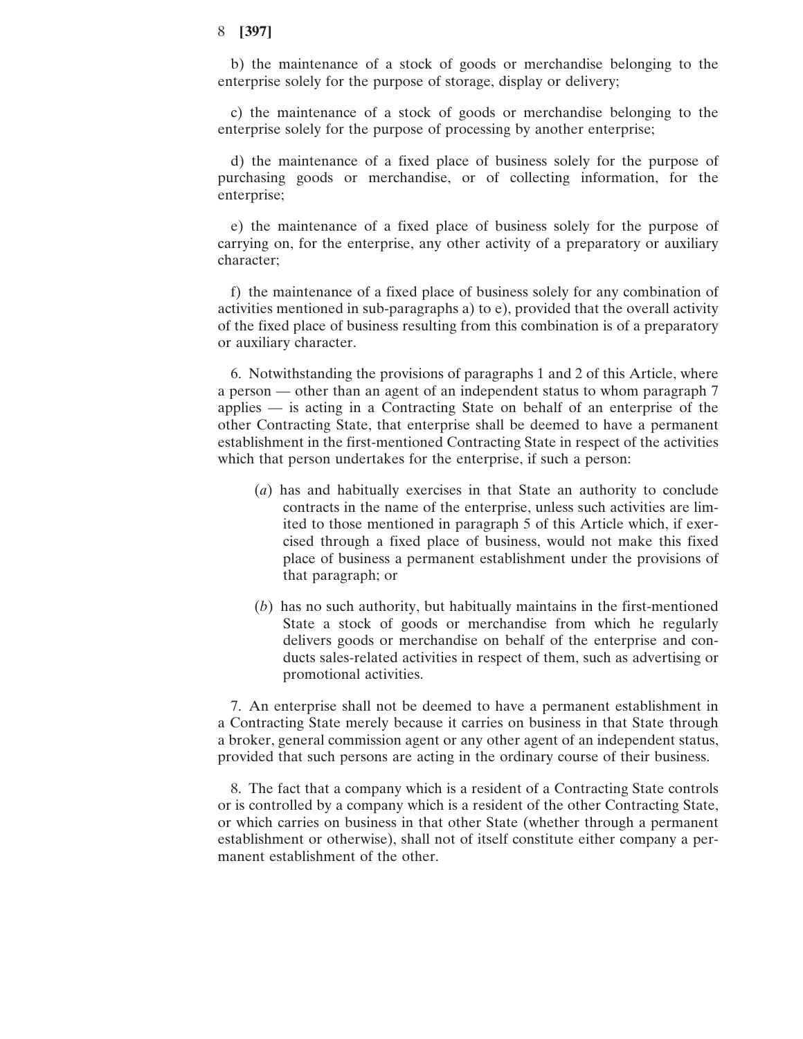b) the maintenance of a stock of goods or merchandise belonging to the enterprise solely for the purpose of storage, display or delivery;

c) the maintenance of a stock of goods or merchandise belonging to the enterprise solely for the purpose of processing by another enterprise;

d) the maintenance of a fixed place of business solely for the purpose of purchasing goods or merchandise, or of collecting information, for the enterprise;

e) the maintenance of a fixed place of business solely for the purpose of carrying on, for the enterprise, any other activity of a preparatory or auxiliary character;

f) the maintenance of a fixed place of business solely for any combination of activities mentioned in sub-paragraphs a) to e), provided that the overall activity of the fixed place of business resulting from this combination is of a preparatory or auxiliary character.

6. Notwithstanding the provisions of paragraphs 1 and 2 of this Article, where a person — other than an agent of an independent status to whom paragraph 7 applies — is acting in a Contracting State on behalf of an enterprise of the other Contracting State, that enterprise shall be deemed to have a permanent establishment in the first-mentioned Contracting State in respect of the activities which that person undertakes for the enterprise, if such a person:

- (*a*) has and habitually exercises in that State an authority to conclude contracts in the name of the enterprise, unless such activities are limited to those mentioned in paragraph 5 of this Article which, if exercised through a fixed place of business, would not make this fixed place of business a permanent establishment under the provisions of that paragraph; or
- (*b*) has no such authority, but habitually maintains in the first-mentioned State a stock of goods or merchandise from which he regularly delivers goods or merchandise on behalf of the enterprise and conducts sales-related activities in respect of them, such as advertising or promotional activities.

7. An enterprise shall not be deemed to have a permanent establishment in a Contracting State merely because it carries on business in that State through a broker, general commission agent or any other agent of an independent status, provided that such persons are acting in the ordinary course of their business.

8. The fact that a company which is a resident of a Contracting State controls or is controlled by a company which is a resident of the other Contracting State, or which carries on business in that other State (whether through a permanent establishment or otherwise), shall not of itself constitute either company a permanent establishment of the other.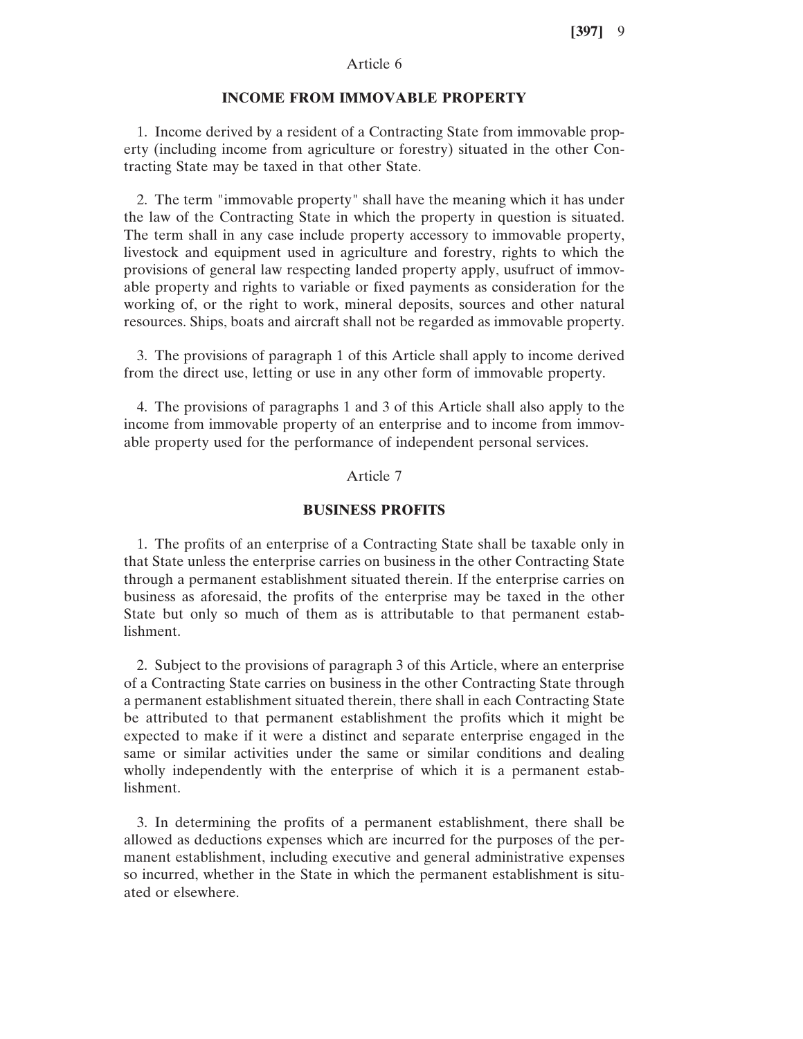# Article 6

#### **INCOME FROM IMMOVABLE PROPERTY**

1. Income derived by a resident of a Contracting State from immovable property (including income from agriculture or forestry) situated in the other Contracting State may be taxed in that other State.

2. The term "immovable property" shall have the meaning which it has under the law of the Contracting State in which the property in question is situated. The term shall in any case include property accessory to immovable property, livestock and equipment used in agriculture and forestry, rights to which the provisions of general law respecting landed property apply, usufruct of immovable property and rights to variable or fixed payments as consideration for the working of, or the right to work, mineral deposits, sources and other natural resources. Ships, boats and aircraft shall not be regarded as immovable property.

3. The provisions of paragraph 1 of this Article shall apply to income derived from the direct use, letting or use in any other form of immovable property.

4. The provisions of paragraphs 1 and 3 of this Article shall also apply to the income from immovable property of an enterprise and to income from immovable property used for the performance of independent personal services.

# Article 7

#### **BUSINESS PROFITS**

1. The profits of an enterprise of a Contracting State shall be taxable only in that State unless the enterprise carries on business in the other Contracting State through a permanent establishment situated therein. If the enterprise carries on business as aforesaid, the profits of the enterprise may be taxed in the other State but only so much of them as is attributable to that permanent establishment.

2. Subject to the provisions of paragraph 3 of this Article, where an enterprise of a Contracting State carries on business in the other Contracting State through a permanent establishment situated therein, there shall in each Contracting State be attributed to that permanent establishment the profits which it might be expected to make if it were a distinct and separate enterprise engaged in the same or similar activities under the same or similar conditions and dealing wholly independently with the enterprise of which it is a permanent establishment.

3. In determining the profits of a permanent establishment, there shall be allowed as deductions expenses which are incurred for the purposes of the permanent establishment, including executive and general administrative expenses so incurred, whether in the State in which the permanent establishment is situated or elsewhere.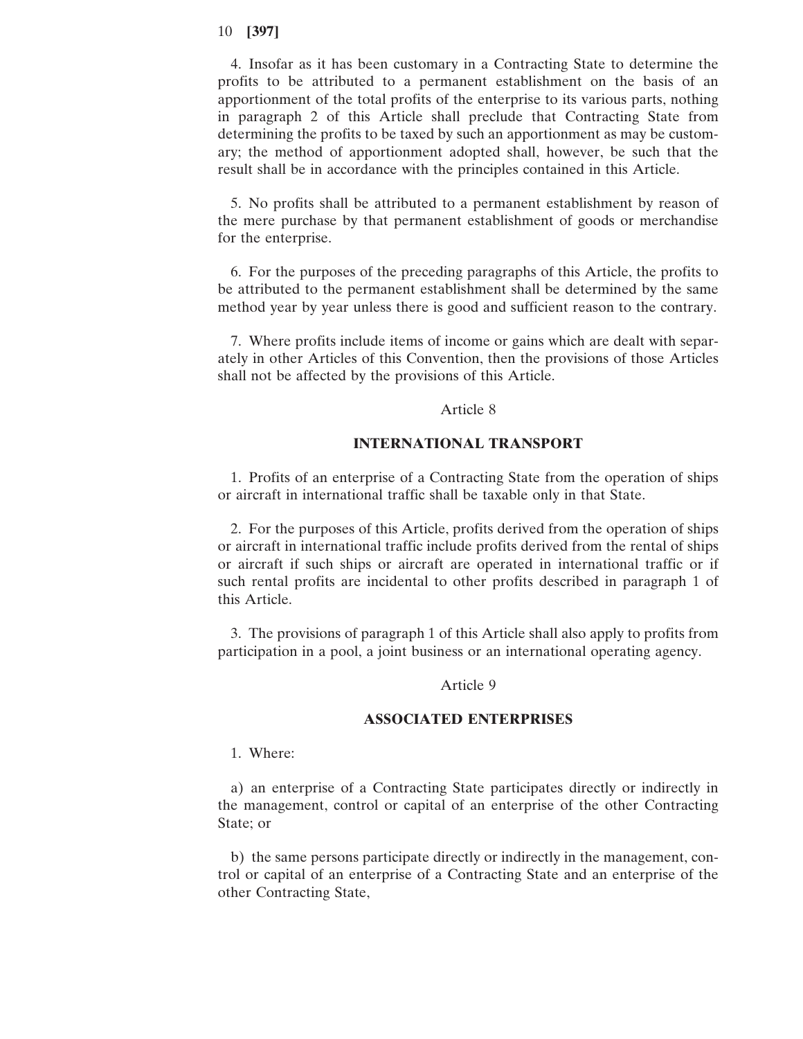4. Insofar as it has been customary in a Contracting State to determine the profits to be attributed to a permanent establishment on the basis of an apportionment of the total profits of the enterprise to its various parts, nothing in paragraph 2 of this Article shall preclude that Contracting State from determining the profits to be taxed by such an apportionment as may be customary; the method of apportionment adopted shall, however, be such that the result shall be in accordance with the principles contained in this Article.

5. No profits shall be attributed to a permanent establishment by reason of the mere purchase by that permanent establishment of goods or merchandise for the enterprise.

6. For the purposes of the preceding paragraphs of this Article, the profits to be attributed to the permanent establishment shall be determined by the same method year by year unless there is good and sufficient reason to the contrary.

7. Where profits include items of income or gains which are dealt with separately in other Articles of this Convention, then the provisions of those Articles shall not be affected by the provisions of this Article.

#### Article 8

### **INTERNATIONAL TRANSPORT**

1. Profits of an enterprise of a Contracting State from the operation of ships or aircraft in international traffic shall be taxable only in that State.

2. For the purposes of this Article, profits derived from the operation of ships or aircraft in international traffic include profits derived from the rental of ships or aircraft if such ships or aircraft are operated in international traffic or if such rental profits are incidental to other profits described in paragraph 1 of this Article.

3. The provisions of paragraph 1 of this Article shall also apply to profits from participation in a pool, a joint business or an international operating agency.

#### Article 9

### **ASSOCIATED ENTERPRISES**

1. Where:

a) an enterprise of a Contracting State participates directly or indirectly in the management, control or capital of an enterprise of the other Contracting State; or

b) the same persons participate directly or indirectly in the management, control or capital of an enterprise of a Contracting State and an enterprise of the other Contracting State,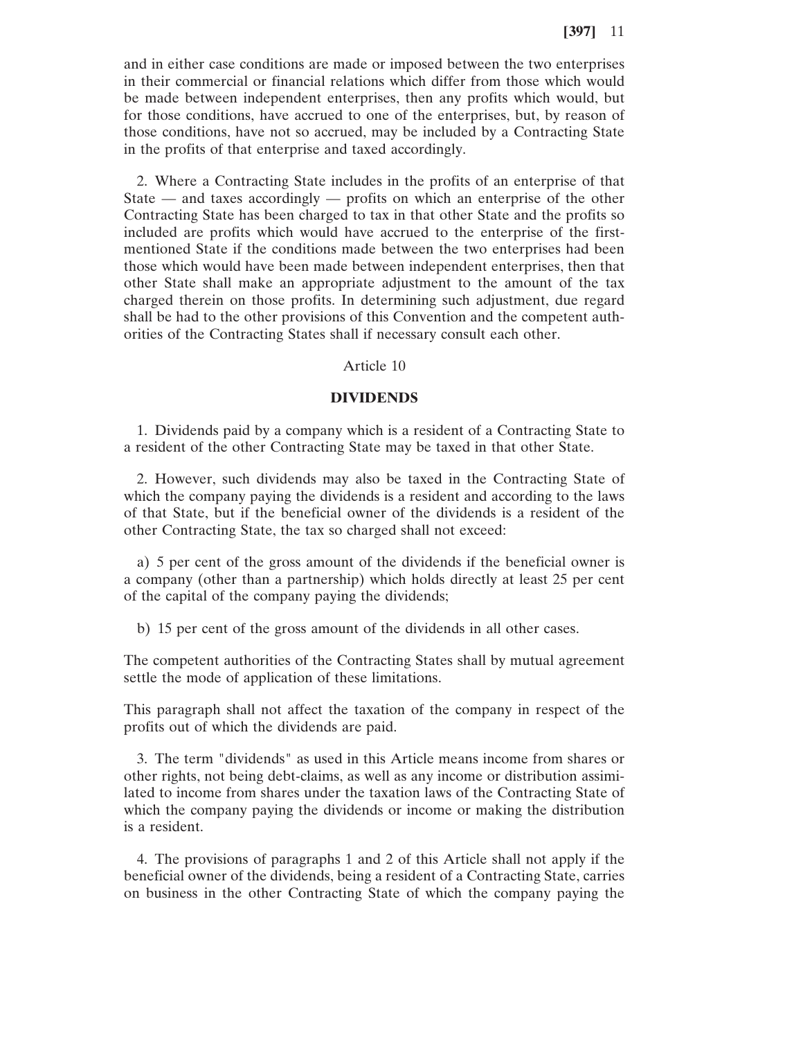and in either case conditions are made or imposed between the two enterprises in their commercial or financial relations which differ from those which would be made between independent enterprises, then any profits which would, but for those conditions, have accrued to one of the enterprises, but, by reason of those conditions, have not so accrued, may be included by a Contracting State in the profits of that enterprise and taxed accordingly.

2. Where a Contracting State includes in the profits of an enterprise of that State — and taxes accordingly — profits on which an enterprise of the other Contracting State has been charged to tax in that other State and the profits so included are profits which would have accrued to the enterprise of the firstmentioned State if the conditions made between the two enterprises had been those which would have been made between independent enterprises, then that other State shall make an appropriate adjustment to the amount of the tax charged therein on those profits. In determining such adjustment, due regard shall be had to the other provisions of this Convention and the competent authorities of the Contracting States shall if necessary consult each other.

### Article 10

#### **DIVIDENDS**

1. Dividends paid by a company which is a resident of a Contracting State to a resident of the other Contracting State may be taxed in that other State.

2. However, such dividends may also be taxed in the Contracting State of which the company paying the dividends is a resident and according to the laws of that State, but if the beneficial owner of the dividends is a resident of the other Contracting State, the tax so charged shall not exceed:

a) 5 per cent of the gross amount of the dividends if the beneficial owner is a company (other than a partnership) which holds directly at least 25 per cent of the capital of the company paying the dividends;

b) 15 per cent of the gross amount of the dividends in all other cases.

The competent authorities of the Contracting States shall by mutual agreement settle the mode of application of these limitations.

This paragraph shall not affect the taxation of the company in respect of the profits out of which the dividends are paid.

3. The term "dividends" as used in this Article means income from shares or other rights, not being debt-claims, as well as any income or distribution assimilated to income from shares under the taxation laws of the Contracting State of which the company paying the dividends or income or making the distribution is a resident.

4. The provisions of paragraphs 1 and 2 of this Article shall not apply if the beneficial owner of the dividends, being a resident of a Contracting State, carries on business in the other Contracting State of which the company paying the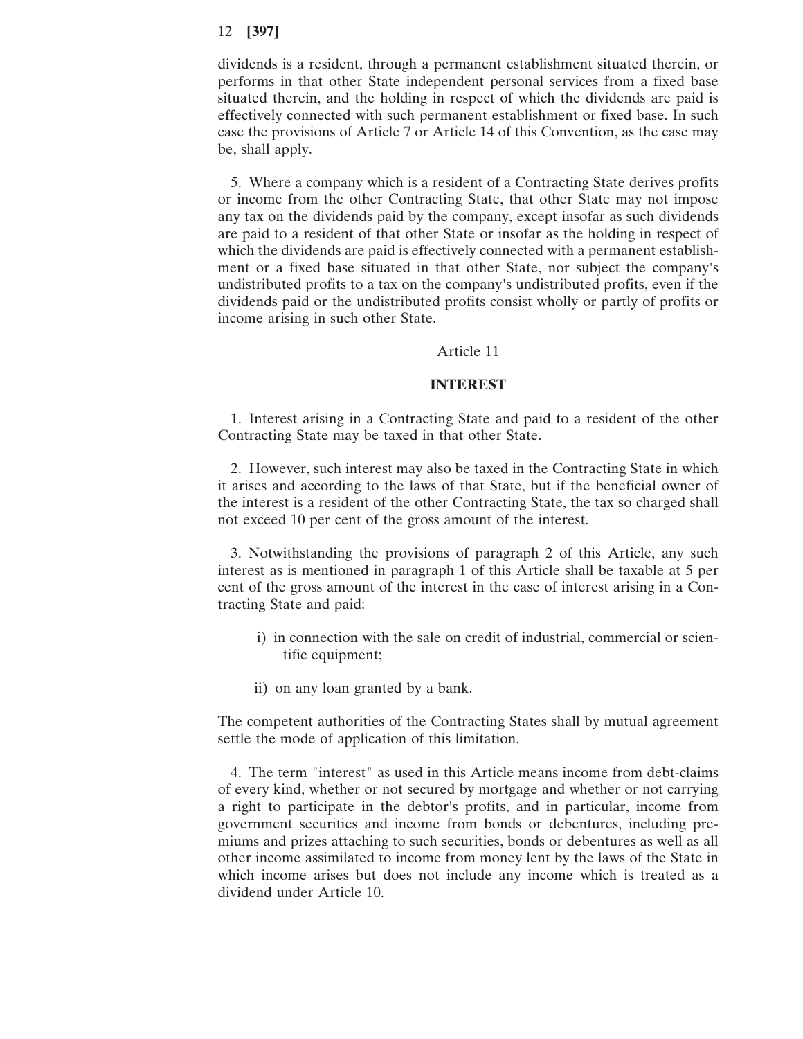dividends is a resident, through a permanent establishment situated therein, or performs in that other State independent personal services from a fixed base situated therein, and the holding in respect of which the dividends are paid is effectively connected with such permanent establishment or fixed base. In such case the provisions of Article 7 or Article 14 of this Convention, as the case may be, shall apply.

5. Where a company which is a resident of a Contracting State derives profits or income from the other Contracting State, that other State may not impose any tax on the dividends paid by the company, except insofar as such dividends are paid to a resident of that other State or insofar as the holding in respect of which the dividends are paid is effectively connected with a permanent establishment or a fixed base situated in that other State, nor subject the company's undistributed profits to a tax on the company's undistributed profits, even if the dividends paid or the undistributed profits consist wholly or partly of profits or income arising in such other State.

#### Article 11

#### **INTEREST**

1. Interest arising in a Contracting State and paid to a resident of the other Contracting State may be taxed in that other State.

2. However, such interest may also be taxed in the Contracting State in which it arises and according to the laws of that State, but if the beneficial owner of the interest is a resident of the other Contracting State, the tax so charged shall not exceed 10 per cent of the gross amount of the interest.

3. Notwithstanding the provisions of paragraph 2 of this Article, any such interest as is mentioned in paragraph 1 of this Article shall be taxable at 5 per cent of the gross amount of the interest in the case of interest arising in a Contracting State and paid:

- i) in connection with the sale on credit of industrial, commercial or scientific equipment;
- ii) on any loan granted by a bank.

The competent authorities of the Contracting States shall by mutual agreement settle the mode of application of this limitation.

4. The term "interest" as used in this Article means income from debt-claims of every kind, whether or not secured by mortgage and whether or not carrying a right to participate in the debtor's profits, and in particular, income from government securities and income from bonds or debentures, including premiums and prizes attaching to such securities, bonds or debentures as well as all other income assimilated to income from money lent by the laws of the State in which income arises but does not include any income which is treated as a dividend under Article 10.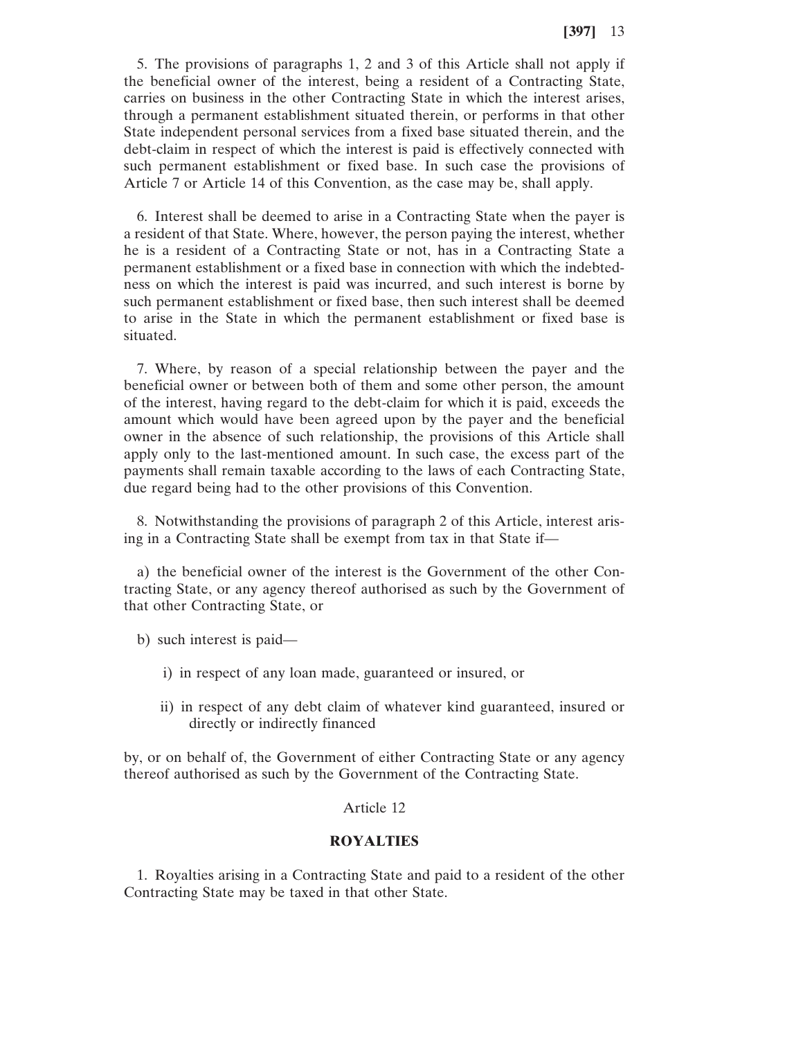5. The provisions of paragraphs 1, 2 and 3 of this Article shall not apply if the beneficial owner of the interest, being a resident of a Contracting State, carries on business in the other Contracting State in which the interest arises, through a permanent establishment situated therein, or performs in that other State independent personal services from a fixed base situated therein, and the debt-claim in respect of which the interest is paid is effectively connected with such permanent establishment or fixed base. In such case the provisions of Article 7 or Article 14 of this Convention, as the case may be, shall apply.

6. Interest shall be deemed to arise in a Contracting State when the payer is a resident of that State. Where, however, the person paying the interest, whether he is a resident of a Contracting State or not, has in a Contracting State a permanent establishment or a fixed base in connection with which the indebtedness on which the interest is paid was incurred, and such interest is borne by such permanent establishment or fixed base, then such interest shall be deemed to arise in the State in which the permanent establishment or fixed base is situated.

7. Where, by reason of a special relationship between the payer and the beneficial owner or between both of them and some other person, the amount of the interest, having regard to the debt-claim for which it is paid, exceeds the amount which would have been agreed upon by the payer and the beneficial owner in the absence of such relationship, the provisions of this Article shall apply only to the last-mentioned amount. In such case, the excess part of the payments shall remain taxable according to the laws of each Contracting State, due regard being had to the other provisions of this Convention.

8. Notwithstanding the provisions of paragraph 2 of this Article, interest arising in a Contracting State shall be exempt from tax in that State if—

a) the beneficial owner of the interest is the Government of the other Contracting State, or any agency thereof authorised as such by the Government of that other Contracting State, or

- b) such interest is paid
	- i) in respect of any loan made, guaranteed or insured, or
	- ii) in respect of any debt claim of whatever kind guaranteed, insured or directly or indirectly financed

by, or on behalf of, the Government of either Contracting State or any agency thereof authorised as such by the Government of the Contracting State.

Article 12

#### **ROYALTIES**

1. Royalties arising in a Contracting State and paid to a resident of the other Contracting State may be taxed in that other State.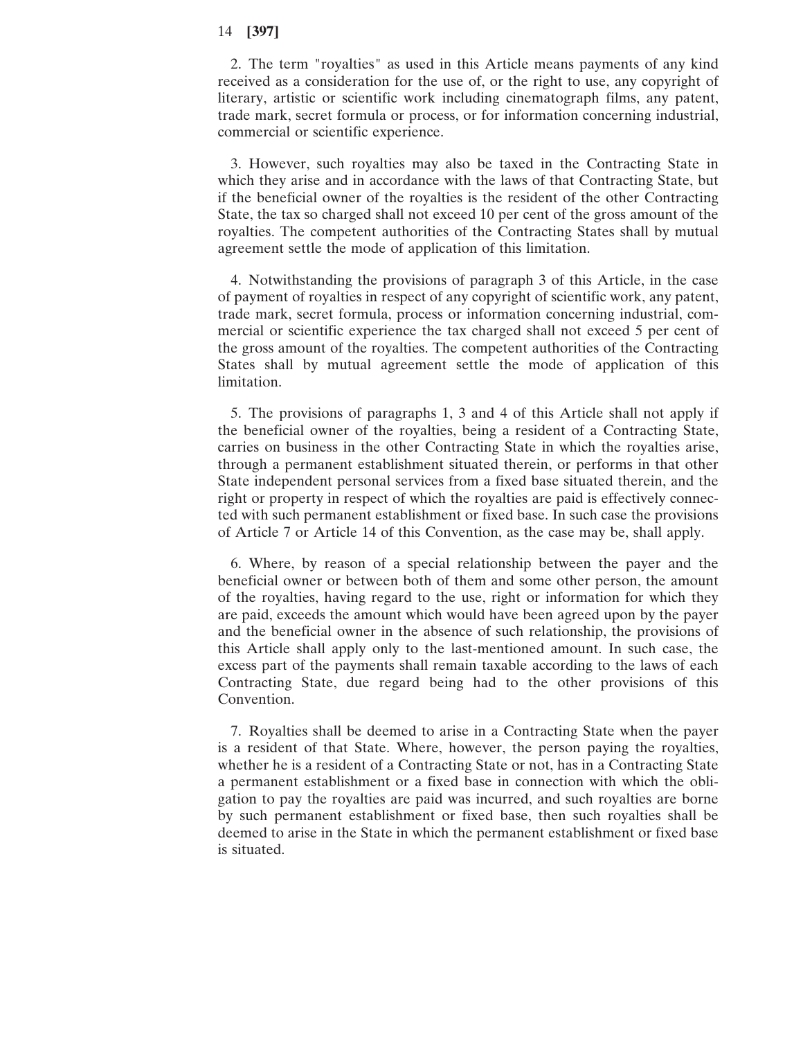2. The term "royalties" as used in this Article means payments of any kind received as a consideration for the use of, or the right to use, any copyright of literary, artistic or scientific work including cinematograph films, any patent, trade mark, secret formula or process, or for information concerning industrial, commercial or scientific experience.

3. However, such royalties may also be taxed in the Contracting State in which they arise and in accordance with the laws of that Contracting State, but if the beneficial owner of the royalties is the resident of the other Contracting State, the tax so charged shall not exceed 10 per cent of the gross amount of the royalties. The competent authorities of the Contracting States shall by mutual agreement settle the mode of application of this limitation.

4. Notwithstanding the provisions of paragraph 3 of this Article, in the case of payment of royalties in respect of any copyright of scientific work, any patent, trade mark, secret formula, process or information concerning industrial, commercial or scientific experience the tax charged shall not exceed 5 per cent of the gross amount of the royalties. The competent authorities of the Contracting States shall by mutual agreement settle the mode of application of this limitation.

5. The provisions of paragraphs 1, 3 and 4 of this Article shall not apply if the beneficial owner of the royalties, being a resident of a Contracting State, carries on business in the other Contracting State in which the royalties arise, through a permanent establishment situated therein, or performs in that other State independent personal services from a fixed base situated therein, and the right or property in respect of which the royalties are paid is effectively connected with such permanent establishment or fixed base. In such case the provisions of Article 7 or Article 14 of this Convention, as the case may be, shall apply.

6. Where, by reason of a special relationship between the payer and the beneficial owner or between both of them and some other person, the amount of the royalties, having regard to the use, right or information for which they are paid, exceeds the amount which would have been agreed upon by the payer and the beneficial owner in the absence of such relationship, the provisions of this Article shall apply only to the last-mentioned amount. In such case, the excess part of the payments shall remain taxable according to the laws of each Contracting State, due regard being had to the other provisions of this Convention.

7. Royalties shall be deemed to arise in a Contracting State when the payer is a resident of that State. Where, however, the person paying the royalties, whether he is a resident of a Contracting State or not, has in a Contracting State a permanent establishment or a fixed base in connection with which the obligation to pay the royalties are paid was incurred, and such royalties are borne by such permanent establishment or fixed base, then such royalties shall be deemed to arise in the State in which the permanent establishment or fixed base is situated.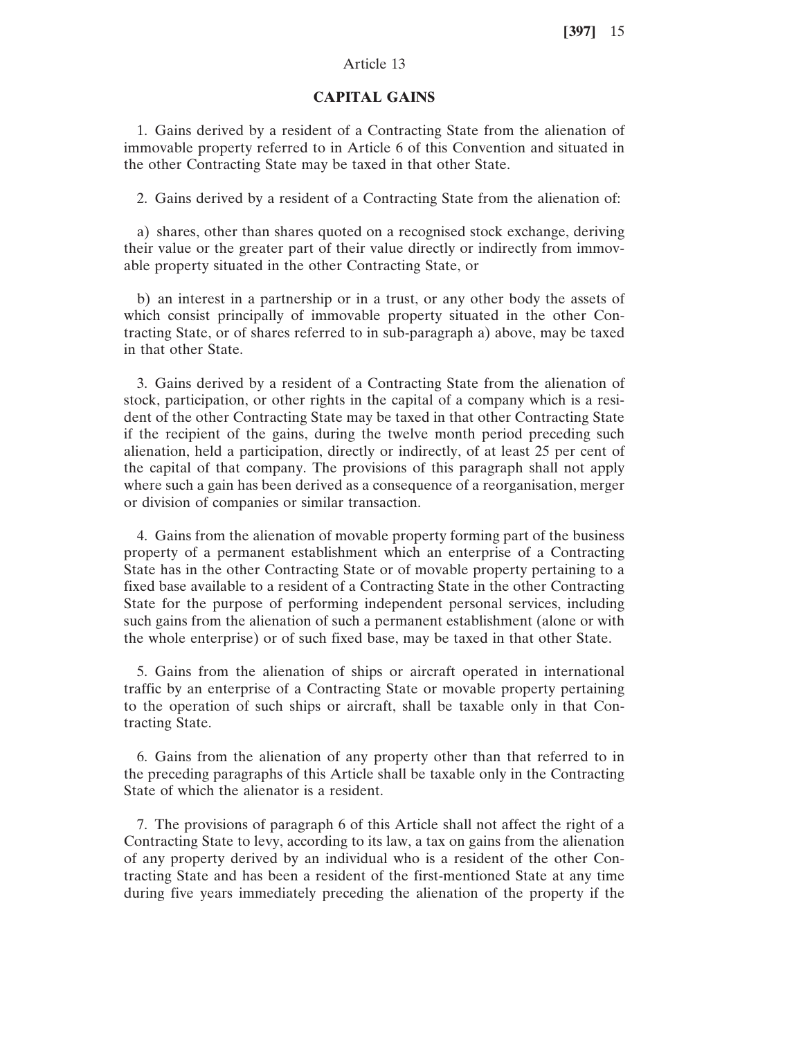# Article 13

### **CAPITAL GAINS**

1. Gains derived by a resident of a Contracting State from the alienation of immovable property referred to in Article 6 of this Convention and situated in the other Contracting State may be taxed in that other State.

2. Gains derived by a resident of a Contracting State from the alienation of:

a) shares, other than shares quoted on a recognised stock exchange, deriving their value or the greater part of their value directly or indirectly from immovable property situated in the other Contracting State, or

b) an interest in a partnership or in a trust, or any other body the assets of which consist principally of immovable property situated in the other Contracting State, or of shares referred to in sub-paragraph a) above, may be taxed in that other State.

3. Gains derived by a resident of a Contracting State from the alienation of stock, participation, or other rights in the capital of a company which is a resident of the other Contracting State may be taxed in that other Contracting State if the recipient of the gains, during the twelve month period preceding such alienation, held a participation, directly or indirectly, of at least 25 per cent of the capital of that company. The provisions of this paragraph shall not apply where such a gain has been derived as a consequence of a reorganisation, merger or division of companies or similar transaction.

4. Gains from the alienation of movable property forming part of the business property of a permanent establishment which an enterprise of a Contracting State has in the other Contracting State or of movable property pertaining to a fixed base available to a resident of a Contracting State in the other Contracting State for the purpose of performing independent personal services, including such gains from the alienation of such a permanent establishment (alone or with the whole enterprise) or of such fixed base, may be taxed in that other State.

5. Gains from the alienation of ships or aircraft operated in international traffic by an enterprise of a Contracting State or movable property pertaining to the operation of such ships or aircraft, shall be taxable only in that Contracting State.

6. Gains from the alienation of any property other than that referred to in the preceding paragraphs of this Article shall be taxable only in the Contracting State of which the alienator is a resident.

7. The provisions of paragraph 6 of this Article shall not affect the right of a Contracting State to levy, according to its law, a tax on gains from the alienation of any property derived by an individual who is a resident of the other Contracting State and has been a resident of the first-mentioned State at any time during five years immediately preceding the alienation of the property if the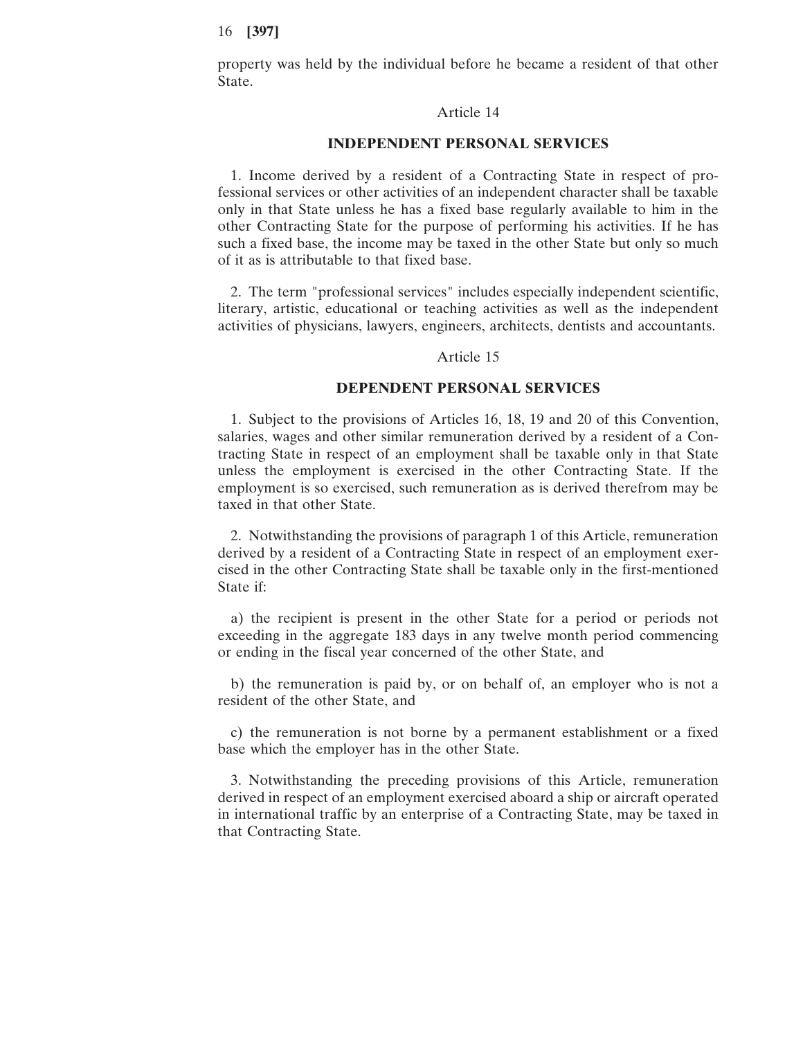property was held by the individual before he became a resident of that other State.

### Article 14

### **INDEPENDENT PERSONAL SERVICES**

1. Income derived by a resident of a Contracting State in respect of professional services or other activities of an independent character shall be taxable only in that State unless he has a fixed base regularly available to him in the other Contracting State for the purpose of performing his activities. If he has such a fixed base, the income may be taxed in the other State but only so much of it as is attributable to that fixed base.

2. The term "professional services" includes especially independent scientific, literary, artistic, educational or teaching activities as well as the independent activities of physicians, lawyers, engineers, architects, dentists and accountants.

#### Article 15

# **DEPENDENT PERSONAL SERVICES**

1. Subject to the provisions of Articles 16, 18, 19 and 20 of this Convention, salaries, wages and other similar remuneration derived by a resident of a Contracting State in respect of an employment shall be taxable only in that State unless the employment is exercised in the other Contracting State. If the employment is so exercised, such remuneration as is derived therefrom may be taxed in that other State.

2. Notwithstanding the provisions of paragraph 1 of this Article, remuneration derived by a resident of a Contracting State in respect of an employment exercised in the other Contracting State shall be taxable only in the first-mentioned State if:

a) the recipient is present in the other State for a period or periods not exceeding in the aggregate 183 days in any twelve month period commencing or ending in the fiscal year concerned of the other State, and

b) the remuneration is paid by, or on behalf of, an employer who is not a resident of the other State, and

c) the remuneration is not borne by a permanent establishment or a fixed base which the employer has in the other State.

3. Notwithstanding the preceding provisions of this Article, remuneration derived in respect of an employment exercised aboard a ship or aircraft operated in international traffic by an enterprise of a Contracting State, may be taxed in that Contracting State.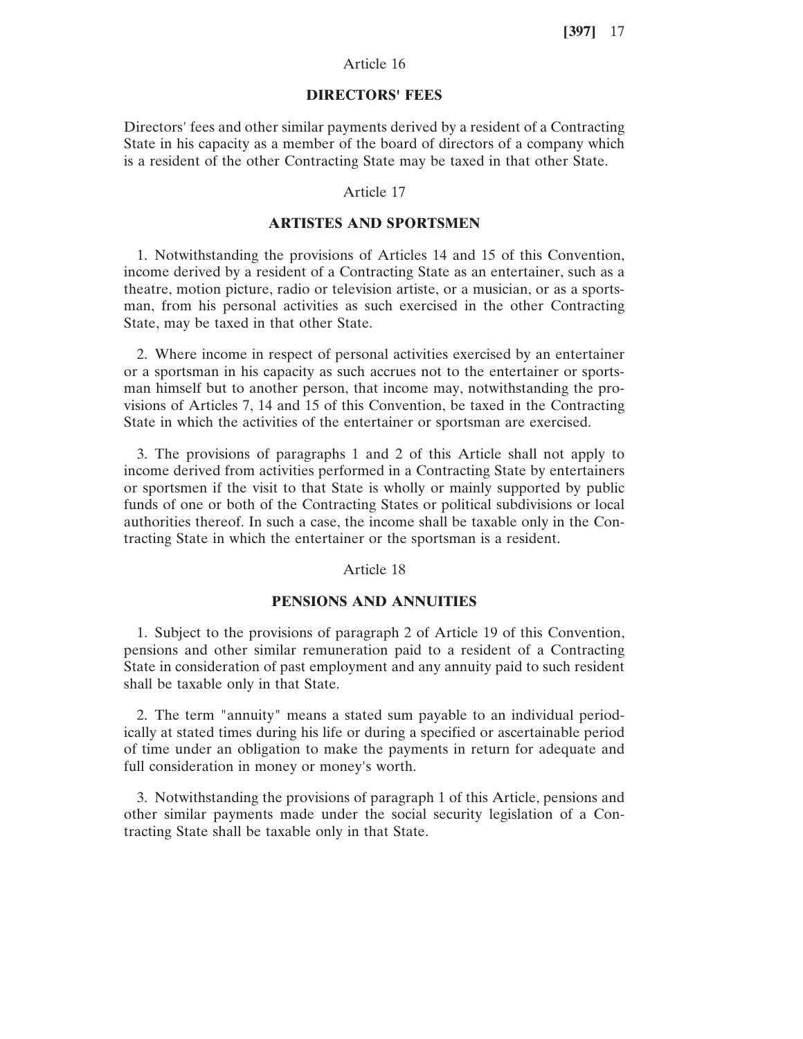# Article 16

### **DIRECTORS' FEES**

Directors' fees and other similar payments derived by a resident of a Contracting State in his capacity as a member of the board of directors of a company which is a resident of the other Contracting State may be taxed in that other State.

### Article 17

# **ARTISTES AND SPORTSMEN**

1. Notwithstanding the provisions of Articles 14 and 15 of this Convention, income derived by a resident of a Contracting State as an entertainer, such as a theatre, motion picture, radio or television artiste, or a musician, or as a sportsman, from his personal activities as such exercised in the other Contracting State, may be taxed in that other State.

2. Where income in respect of personal activities exercised by an entertainer or a sportsman in his capacity as such accrues not to the entertainer or sportsman himself but to another person, that income may, notwithstanding the provisions of Articles 7, 14 and 15 of this Convention, be taxed in the Contracting State in which the activities of the entertainer or sportsman are exercised.

3. The provisions of paragraphs 1 and 2 of this Article shall not apply to income derived from activities performed in a Contracting State by entertainers or sportsmen if the visit to that State is wholly or mainly supported by public funds of one or both of the Contracting States or political subdivisions or local authorities thereof. In such a case, the income shall be taxable only in the Contracting State in which the entertainer or the sportsman is a resident.

## Article 18

## **PENSIONS AND ANNUITIES**

1. Subject to the provisions of paragraph 2 of Article 19 of this Convention, pensions and other similar remuneration paid to a resident of a Contracting State in consideration of past employment and any annuity paid to such resident shall be taxable only in that State.

2. The term "annuity" means a stated sum payable to an individual periodically at stated times during his life or during a specified or ascertainable period of time under an obligation to make the payments in return for adequate and full consideration in money or money's worth.

3. Notwithstanding the provisions of paragraph 1 of this Article, pensions and other similar payments made under the social security legislation of a Contracting State shall be taxable only in that State.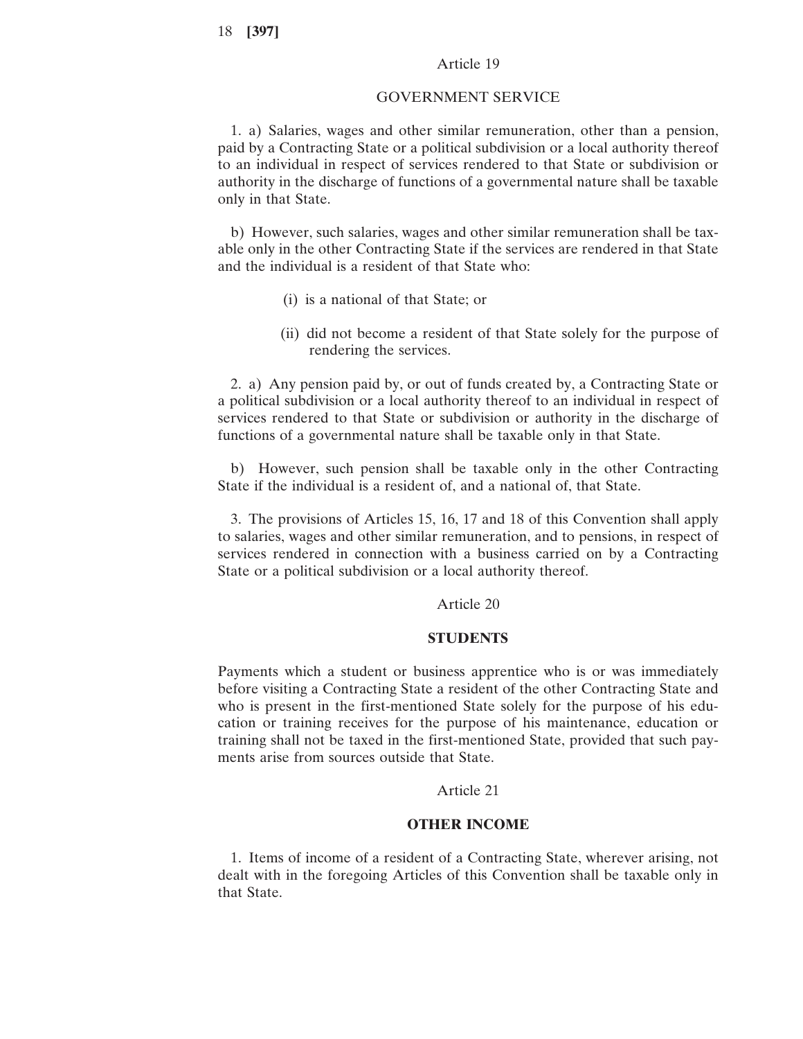### Article 19

#### GOVERNMENT SERVICE

1. a) Salaries, wages and other similar remuneration, other than a pension, paid by a Contracting State or a political subdivision or a local authority thereof to an individual in respect of services rendered to that State or subdivision or authority in the discharge of functions of a governmental nature shall be taxable only in that State.

b) However, such salaries, wages and other similar remuneration shall be taxable only in the other Contracting State if the services are rendered in that State and the individual is a resident of that State who:

- (i) is a national of that State; or
- (ii) did not become a resident of that State solely for the purpose of rendering the services.

2. a) Any pension paid by, or out of funds created by, a Contracting State or a political subdivision or a local authority thereof to an individual in respect of services rendered to that State or subdivision or authority in the discharge of functions of a governmental nature shall be taxable only in that State.

b) However, such pension shall be taxable only in the other Contracting State if the individual is a resident of, and a national of, that State.

3. The provisions of Articles 15, 16, 17 and 18 of this Convention shall apply to salaries, wages and other similar remuneration, and to pensions, in respect of services rendered in connection with a business carried on by a Contracting State or a political subdivision or a local authority thereof.

Article 20

### **STUDENTS**

Payments which a student or business apprentice who is or was immediately before visiting a Contracting State a resident of the other Contracting State and who is present in the first-mentioned State solely for the purpose of his education or training receives for the purpose of his maintenance, education or training shall not be taxed in the first-mentioned State, provided that such payments arise from sources outside that State.

Article 21

### **OTHER INCOME**

1. Items of income of a resident of a Contracting State, wherever arising, not dealt with in the foregoing Articles of this Convention shall be taxable only in that State.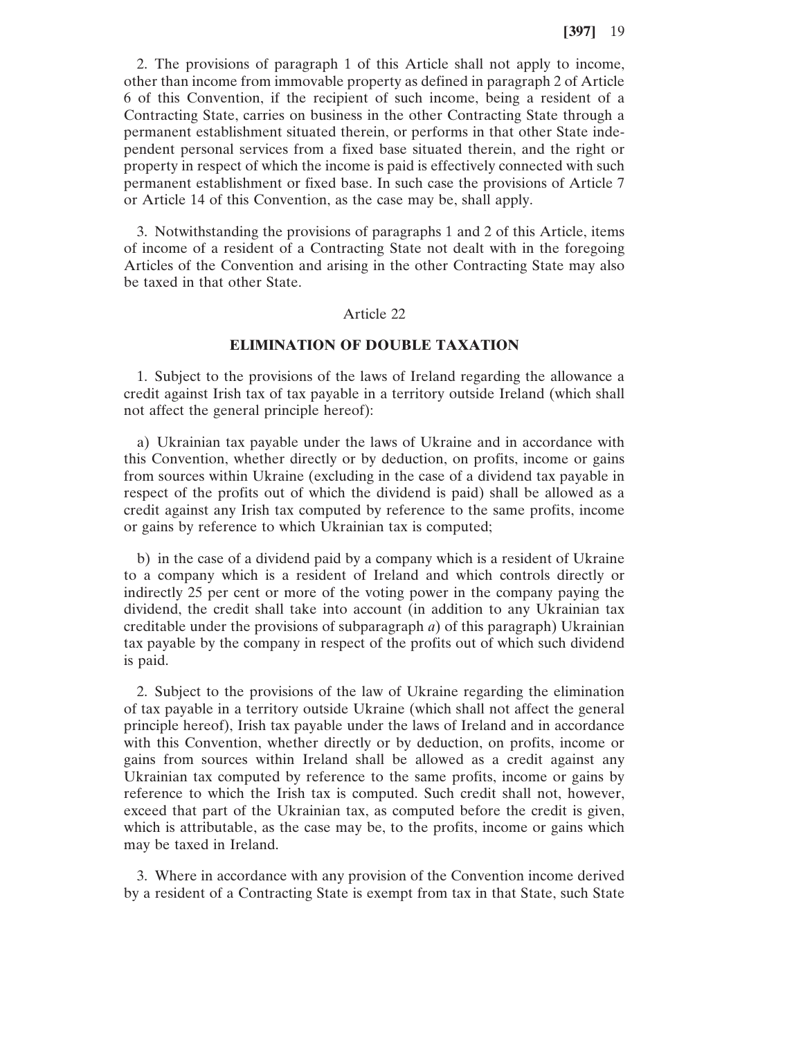2. The provisions of paragraph 1 of this Article shall not apply to income, other than income from immovable property as defined in paragraph 2 of Article 6 of this Convention, if the recipient of such income, being a resident of a Contracting State, carries on business in the other Contracting State through a permanent establishment situated therein, or performs in that other State independent personal services from a fixed base situated therein, and the right or property in respect of which the income is paid is effectively connected with such permanent establishment or fixed base. In such case the provisions of Article 7 or Article 14 of this Convention, as the case may be, shall apply.

3. Notwithstanding the provisions of paragraphs 1 and 2 of this Article, items of income of a resident of a Contracting State not dealt with in the foregoing Articles of the Convention and arising in the other Contracting State may also be taxed in that other State.

# Article 22

# **ELIMINATION OF DOUBLE TAXATION**

1. Subject to the provisions of the laws of Ireland regarding the allowance a credit against Irish tax of tax payable in a territory outside Ireland (which shall not affect the general principle hereof):

a) Ukrainian tax payable under the laws of Ukraine and in accordance with this Convention, whether directly or by deduction, on profits, income or gains from sources within Ukraine (excluding in the case of a dividend tax payable in respect of the profits out of which the dividend is paid) shall be allowed as a credit against any Irish tax computed by reference to the same profits, income or gains by reference to which Ukrainian tax is computed;

b) in the case of a dividend paid by a company which is a resident of Ukraine to a company which is a resident of Ireland and which controls directly or indirectly 25 per cent or more of the voting power in the company paying the dividend, the credit shall take into account (in addition to any Ukrainian tax creditable under the provisions of subparagraph *a*) of this paragraph) Ukrainian tax payable by the company in respect of the profits out of which such dividend is paid.

2. Subject to the provisions of the law of Ukraine regarding the elimination of tax payable in a territory outside Ukraine (which shall not affect the general principle hereof), Irish tax payable under the laws of Ireland and in accordance with this Convention, whether directly or by deduction, on profits, income or gains from sources within Ireland shall be allowed as a credit against any Ukrainian tax computed by reference to the same profits, income or gains by reference to which the Irish tax is computed. Such credit shall not, however, exceed that part of the Ukrainian tax, as computed before the credit is given, which is attributable, as the case may be, to the profits, income or gains which may be taxed in Ireland.

3. Where in accordance with any provision of the Convention income derived by a resident of a Contracting State is exempt from tax in that State, such State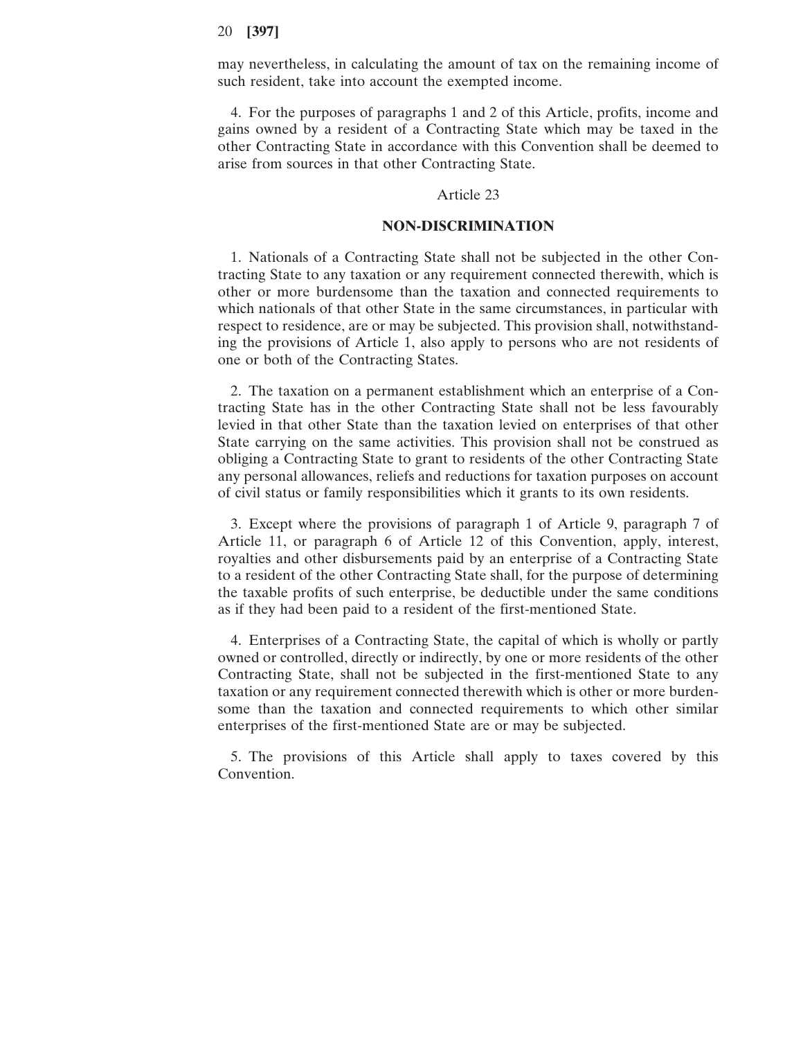may nevertheless, in calculating the amount of tax on the remaining income of such resident, take into account the exempted income.

4. For the purposes of paragraphs 1 and 2 of this Article, profits, income and gains owned by a resident of a Contracting State which may be taxed in the other Contracting State in accordance with this Convention shall be deemed to arise from sources in that other Contracting State.

#### Article 23

### **NON-DISCRIMINATION**

1. Nationals of a Contracting State shall not be subjected in the other Contracting State to any taxation or any requirement connected therewith, which is other or more burdensome than the taxation and connected requirements to which nationals of that other State in the same circumstances, in particular with respect to residence, are or may be subjected. This provision shall, notwithstanding the provisions of Article 1, also apply to persons who are not residents of one or both of the Contracting States.

2. The taxation on a permanent establishment which an enterprise of a Contracting State has in the other Contracting State shall not be less favourably levied in that other State than the taxation levied on enterprises of that other State carrying on the same activities. This provision shall not be construed as obliging a Contracting State to grant to residents of the other Contracting State any personal allowances, reliefs and reductions for taxation purposes on account of civil status or family responsibilities which it grants to its own residents.

3. Except where the provisions of paragraph 1 of Article 9, paragraph 7 of Article 11, or paragraph 6 of Article 12 of this Convention, apply, interest, royalties and other disbursements paid by an enterprise of a Contracting State to a resident of the other Contracting State shall, for the purpose of determining the taxable profits of such enterprise, be deductible under the same conditions as if they had been paid to a resident of the first-mentioned State.

4. Enterprises of a Contracting State, the capital of which is wholly or partly owned or controlled, directly or indirectly, by one or more residents of the other Contracting State, shall not be subjected in the first-mentioned State to any taxation or any requirement connected therewith which is other or more burdensome than the taxation and connected requirements to which other similar enterprises of the first-mentioned State are or may be subjected.

5. The provisions of this Article shall apply to taxes covered by this Convention.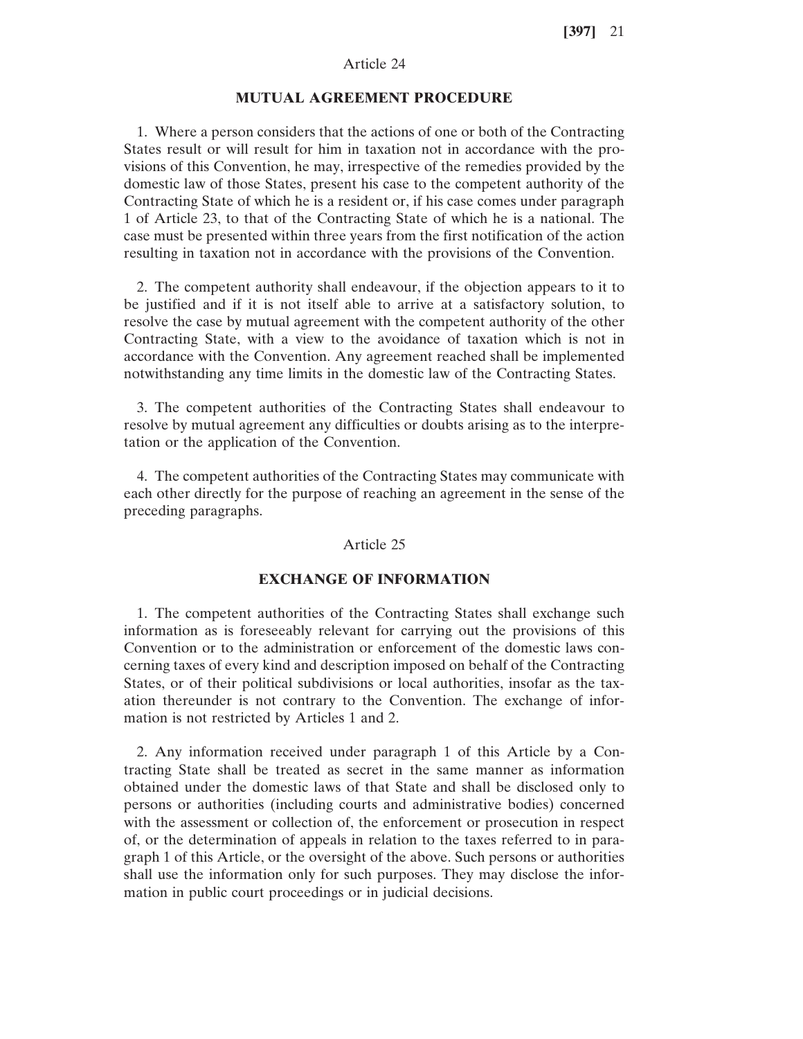# Article 24

#### **MUTUAL AGREEMENT PROCEDURE**

1. Where a person considers that the actions of one or both of the Contracting States result or will result for him in taxation not in accordance with the provisions of this Convention, he may, irrespective of the remedies provided by the domestic law of those States, present his case to the competent authority of the Contracting State of which he is a resident or, if his case comes under paragraph 1 of Article 23, to that of the Contracting State of which he is a national. The case must be presented within three years from the first notification of the action resulting in taxation not in accordance with the provisions of the Convention.

2. The competent authority shall endeavour, if the objection appears to it to be justified and if it is not itself able to arrive at a satisfactory solution, to resolve the case by mutual agreement with the competent authority of the other Contracting State, with a view to the avoidance of taxation which is not in accordance with the Convention. Any agreement reached shall be implemented notwithstanding any time limits in the domestic law of the Contracting States.

3. The competent authorities of the Contracting States shall endeavour to resolve by mutual agreement any difficulties or doubts arising as to the interpretation or the application of the Convention.

4. The competent authorities of the Contracting States may communicate with each other directly for the purpose of reaching an agreement in the sense of the preceding paragraphs.

#### Article 25

# **EXCHANGE OF INFORMATION**

1. The competent authorities of the Contracting States shall exchange such information as is foreseeably relevant for carrying out the provisions of this Convention or to the administration or enforcement of the domestic laws concerning taxes of every kind and description imposed on behalf of the Contracting States, or of their political subdivisions or local authorities, insofar as the taxation thereunder is not contrary to the Convention. The exchange of information is not restricted by Articles 1 and 2.

2. Any information received under paragraph 1 of this Article by a Contracting State shall be treated as secret in the same manner as information obtained under the domestic laws of that State and shall be disclosed only to persons or authorities (including courts and administrative bodies) concerned with the assessment or collection of, the enforcement or prosecution in respect of, or the determination of appeals in relation to the taxes referred to in paragraph 1 of this Article, or the oversight of the above. Such persons or authorities shall use the information only for such purposes. They may disclose the information in public court proceedings or in judicial decisions.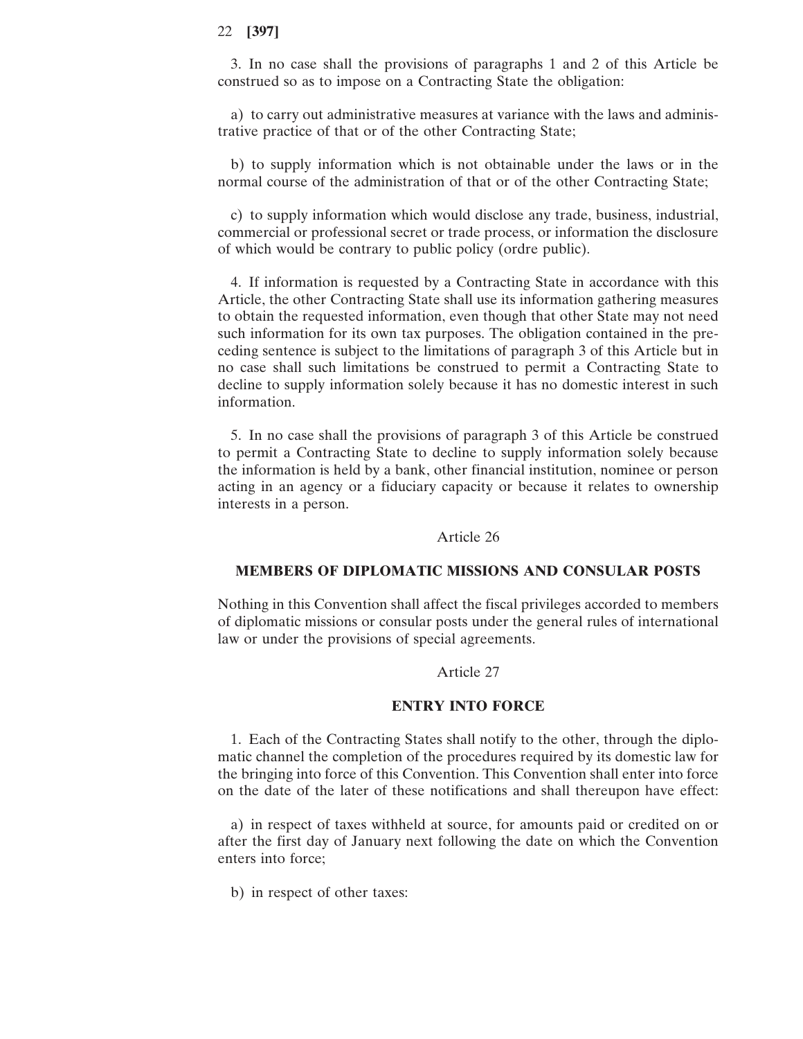3. In no case shall the provisions of paragraphs 1 and 2 of this Article be construed so as to impose on a Contracting State the obligation:

a) to carry out administrative measures at variance with the laws and administrative practice of that or of the other Contracting State;

b) to supply information which is not obtainable under the laws or in the normal course of the administration of that or of the other Contracting State;

c) to supply information which would disclose any trade, business, industrial, commercial or professional secret or trade process, or information the disclosure of which would be contrary to public policy (ordre public).

4. If information is requested by a Contracting State in accordance with this Article, the other Contracting State shall use its information gathering measures to obtain the requested information, even though that other State may not need such information for its own tax purposes. The obligation contained in the preceding sentence is subject to the limitations of paragraph 3 of this Article but in no case shall such limitations be construed to permit a Contracting State to decline to supply information solely because it has no domestic interest in such information.

5. In no case shall the provisions of paragraph 3 of this Article be construed to permit a Contracting State to decline to supply information solely because the information is held by a bank, other financial institution, nominee or person acting in an agency or a fiduciary capacity or because it relates to ownership interests in a person.

### Article 26

## **MEMBERS OF DIPLOMATIC MISSIONS AND CONSULAR POSTS**

Nothing in this Convention shall affect the fiscal privileges accorded to members of diplomatic missions or consular posts under the general rules of international law or under the provisions of special agreements.

### Article 27

#### **ENTRY INTO FORCE**

1. Each of the Contracting States shall notify to the other, through the diplomatic channel the completion of the procedures required by its domestic law for the bringing into force of this Convention. This Convention shall enter into force on the date of the later of these notifications and shall thereupon have effect:

a) in respect of taxes withheld at source, for amounts paid or credited on or after the first day of January next following the date on which the Convention enters into force;

b) in respect of other taxes: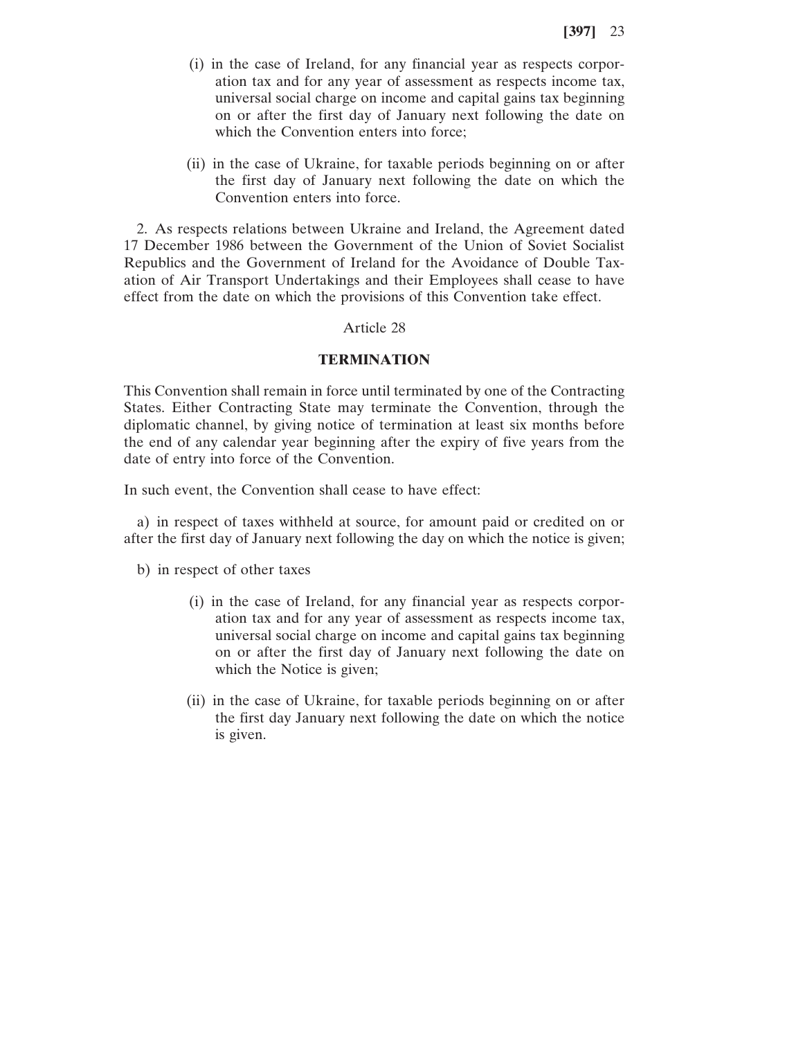- (i) in the case of Ireland, for any financial year as respects corporation tax and for any year of assessment as respects income tax, universal social charge on income and capital gains tax beginning on or after the first day of January next following the date on which the Convention enters into force;
- (ii) in the case of Ukraine, for taxable periods beginning on or after the first day of January next following the date on which the Convention enters into force.

2. As respects relations between Ukraine and Ireland, the Agreement dated 17 December 1986 between the Government of the Union of Soviet Socialist Republics and the Government of Ireland for the Avoidance of Double Taxation of Air Transport Undertakings and their Employees shall cease to have effect from the date on which the provisions of this Convention take effect.

### Article 28

### **TERMINATION**

This Convention shall remain in force until terminated by one of the Contracting States. Either Contracting State may terminate the Convention, through the diplomatic channel, by giving notice of termination at least six months before the end of any calendar year beginning after the expiry of five years from the date of entry into force of the Convention.

In such event, the Convention shall cease to have effect:

a) in respect of taxes withheld at source, for amount paid or credited on or after the first day of January next following the day on which the notice is given;

b) in respect of other taxes

- (i) in the case of Ireland, for any financial year as respects corporation tax and for any year of assessment as respects income tax, universal social charge on income and capital gains tax beginning on or after the first day of January next following the date on which the Notice is given;
- (ii) in the case of Ukraine, for taxable periods beginning on or after the first day January next following the date on which the notice is given.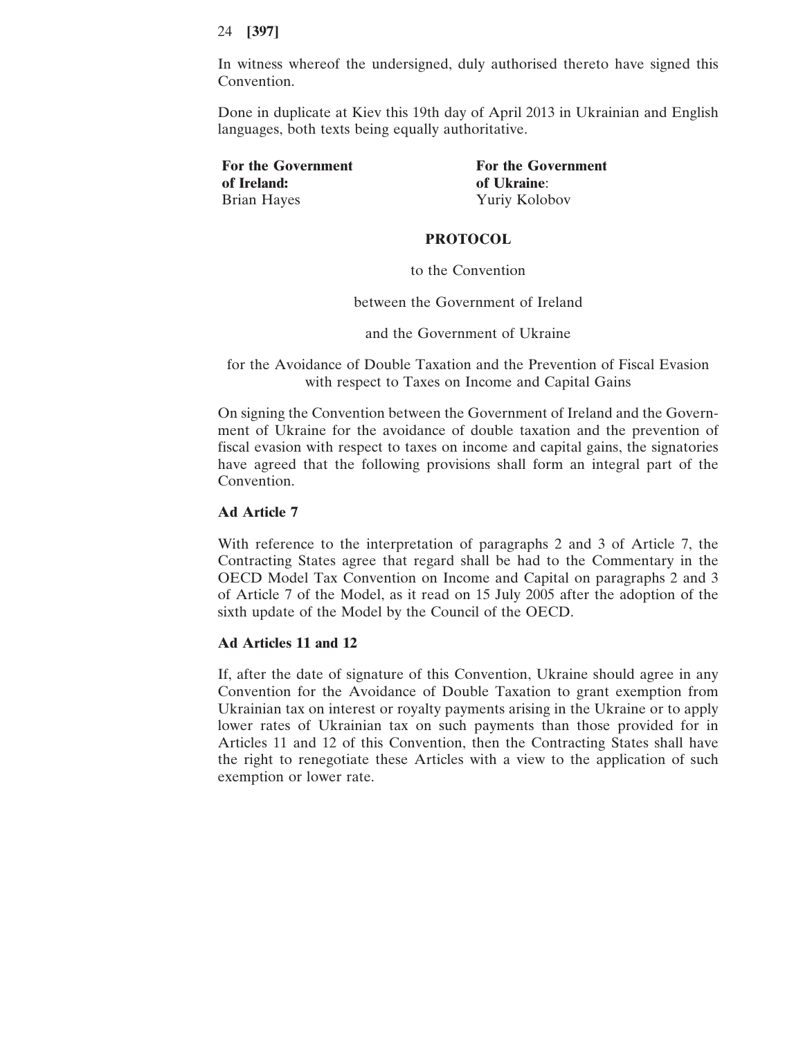In witness whereof the undersigned, duly authorised thereto have signed this Convention.

Done in duplicate at Kiev this 19th day of April 2013 in Ukrainian and English languages, both texts being equally authoritative.

**of Ireland: of Ukraine**: Brian Hayes Yuriy Kolobov

For the Government **For the Government** 

### **PROTOCOL**

to the Convention

between the Government of Ireland

and the Government of Ukraine

for the Avoidance of Double Taxation and the Prevention of Fiscal Evasion with respect to Taxes on Income and Capital Gains

On signing the Convention between the Government of Ireland and the Government of Ukraine for the avoidance of double taxation and the prevention of fiscal evasion with respect to taxes on income and capital gains, the signatories have agreed that the following provisions shall form an integral part of the Convention.

### **Ad Article 7**

With reference to the interpretation of paragraphs 2 and 3 of Article 7, the Contracting States agree that regard shall be had to the Commentary in the OECD Model Tax Convention on Income and Capital on paragraphs 2 and 3 of Article 7 of the Model, as it read on 15 July 2005 after the adoption of the sixth update of the Model by the Council of the OECD.

### **Ad Articles 11 and 12**

If, after the date of signature of this Convention, Ukraine should agree in any Convention for the Avoidance of Double Taxation to grant exemption from Ukrainian tax on interest or royalty payments arising in the Ukraine or to apply lower rates of Ukrainian tax on such payments than those provided for in Articles 11 and 12 of this Convention, then the Contracting States shall have the right to renegotiate these Articles with a view to the application of such exemption or lower rate.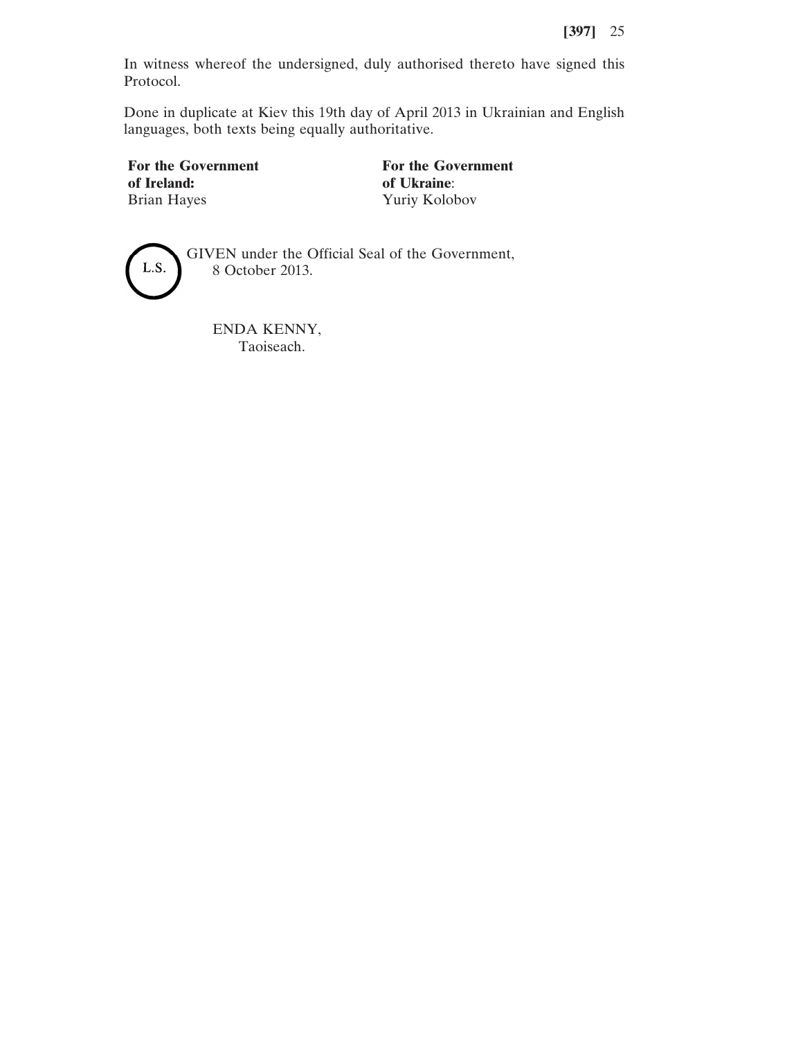In witness whereof the undersigned, duly authorised thereto have signed this Protocol.

Done in duplicate at Kiev this 19th day of April 2013 in Ukrainian and English languages, both texts being equally authoritative.

Brian Hayes Yuriy Kolobov

For the Government<br> **For the Government**<br> **For the Government**<br> **For the Government**<br> **For the Government** of Ukraine:



GIVEN under the Official Seal of the Government, 8 October 2013.

ENDA KENNY, Taoiseach.